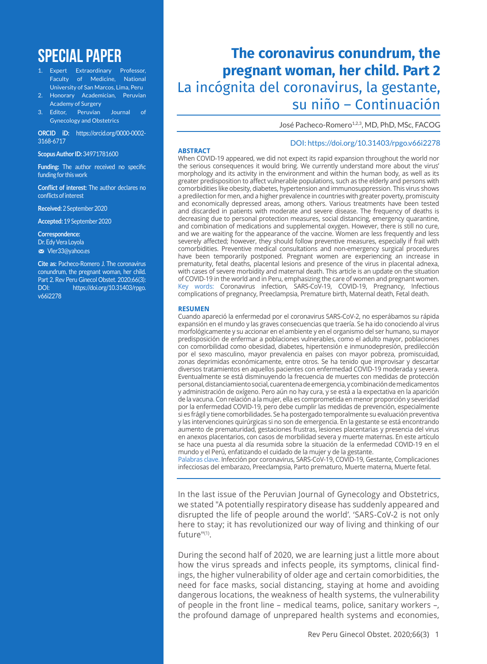# **SPECIAL PAPER**

- 1. Expert Extraordinary Professor, Faculty of Medicine, National University of San Marcos, Lima, Peru
- 2. Honorary Academician, Peruvian Academy of Surgery
- Editor, Peruvian Journal of Gynecology and Obstetrics

**ORCID iD:** https://orcid.org/0000-0002- 3168-6717

**Scopus Author ID:** 34971781600

**Funding:** The author received no specific funding for this work

**Conflict of interest:** The author declares no conflicts of interest

**Received:** 2 September 2020

**Accepted:** 19 September 2020

**Correspondence:**  Dr. Edy Vera Loyola m Vler33@yahoo.es

**Cite as:** Pacheco-Romero J. The coronavirus conundrum, the pregnant woman, her child. Part 2. Rev Peru Ginecol Obstet. 2020;66(3): DOI: https://doi.org/10.31403/rpgo. v66i2278

# **The coronavirus conundrum, the pregnant woman, her child. Part 2** La incógnita del coronavirus, la gestante, su niño – Continuación

José Pacheco-Romero<sup>1,2,3</sup>, MD, PhD, MSc, FACOG

#### **ABSTRACT**

#### DOI: https://doi.org/10.31403/rpgo.v66i2278

When COVID-19 appeared, we did not expect its rapid expansion throughout the world nor the serious consequences it would bring. We currently understand more about the virus' morphology and its activity in the environment and within the human body, as well as its greater predisposition to affect vulnerable populations, such as the elderly and persons with comorbidities like obesity, diabetes, hypertension and immunosuppression. This virus shows a predilection for men, and a higher prevalence in countries with greater poverty, promiscuity and economically depressed areas, among others. Various treatments have been tested and discarded in patients with moderate and severe disease. The frequency of deaths is decreasing due to personal protection measures, social distancing, emergency quarantine, and combination of medications and supplemental oxygen. However, there is still no cure, and we are waiting for the appearance of the vaccine. Women are less frequently and less severely affected; however, they should follow preventive measures, especially if frail with comorbidities. Preventive medical consultations and non-emergency surgical procedures have been temporarily postponed. Pregnant women are experiencing an increase in prematurity, fetal deaths, placental lesions and presence of the virus in placental adnexa, with cases of severe morbidity and maternal death. This article is an update on the situation of COVID-19 in the world and in Peru, emphasizing the care of women and pregnant women. Key words: Coronavirus infection, SARS-CoV-19, COVID-19, Pregnancy, Infectious complications of pregnancy, Preeclampsia, Premature birth, Maternal death, Fetal death.

#### **RESUMEN**

Cuando apareció la enfermedad por el coronavirus SARS-CoV-2, no esperábamos su rápida expansión en el mundo y las graves consecuencias que traería. Se ha ido conociendo al virus morfológicamente y su accionar en el ambiente y en el organismo del ser humano, su mayor predisposición de enfermar a poblaciones vulnerables, como el adulto mayor, poblaciones con comorbilidad como obesidad, diabetes, hipertensión e inmunodepresión, predilección por el sexo masculino, mayor prevalencia en países con mayor pobreza, promiscuidad, zonas deprimidas económicamente, entre otros. Se ha tenido que improvisar y descartar diversos tratamientos en aquellos pacientes con enfermedad COVID-19 moderada y severa. Eventualmente se está disminuyendo la frecuencia de muertes con medidas de protección personal, distanciamiento social, cuarentena de emergencia, y combinación de medicamentos y administración de oxígeno. Pero aún no hay cura, y se está a la expectativa en la aparición de la vacuna. Con relación a la mujer, ella es comprometida en menor proporción y severidad por la enfermedad COVID-19, pero debe cumplir las medidas de prevención, especialmente si es frágil y tiene comorbilidades. Se ha postergado temporalmente su evaluación preventiva y las intervenciones quirúrgicas si no son de emergencia. En la gestante se está encontrando aumento de prematuridad, gestaciones frustras, lesiones placentarias y presencia del virus en anexos placentarios, con casos de morbilidad severa y muerte maternas. En este artículo se hace una puesta al día resumida sobre la situación de la enfermedad COVID-19 en el mundo y el Perú, enfatizando el cuidado de la mujer y de la gestante.

Palabras clave. Infección por coronavirus, SARS-CoV-19, COVID-19, Gestante, Complicaciones infecciosas del embarazo, Preeclampsia, Parto prematuro, Muerte materna, Muerte fetal.

In the last issue of the Peruvian Journal of Gynecology and Obstetrics, we stated "A potentially respiratory disease has suddenly appeared and disrupted the life of people around the world'. 'SARS-CoV-2 is not only here to stay; it has revolutionized our way of living and thinking of our future"(1).

During the second half of 2020, we are learning just a little more about how the virus spreads and infects people, its symptoms, clinical findings, the higher vulnerability of older age and certain comorbidities, the need for face masks, social distancing, staying at home and avoiding dangerous locations, the weakness of health systems, the vulnerability of people in the front line – medical teams, police, sanitary workers –, the profound damage of unprepared health systems and economies,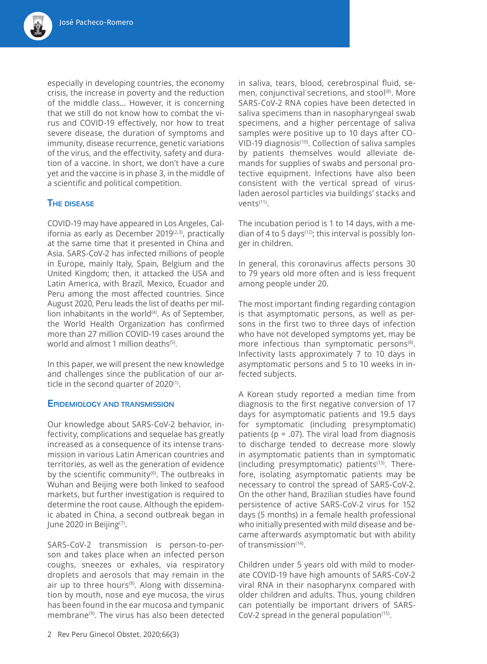especially in developing countries, the economy crisis, the increase in poverty and the reduction of the middle class… However, it is concerning that we still do not know how to combat the virus and COVID-19 effectively, nor how to treat severe disease, the duration of symptoms and immunity, disease recurrence, genetic variations of the virus, and the effectivity, safety and duration of a vaccine. In short, we don't have a cure yet and the vaccine is in phase 3, in the middle of a scientific and political competition.

## **The disease**

COVID-19 may have appeared in Los Angeles, California as early as December  $2019^{(2,3)}$ , practically at the same time that it presented in China and Asia. SARS-CoV-2 has infected millions of people in Europe, mainly Italy, Spain, Belgium and the United Kingdom; then, it attacked the USA and Latin America, with Brazil, Mexico, Ecuador and Peru among the most affected countries. Since August 2020, Peru leads the list of deaths per million inhabitants in the world $(4)$ . As of September, the World Health Organization has confirmed more than 27 million COVID-19 cases around the world and almost 1 million deaths<sup>(5)</sup>

In this paper, we will present the new knowledge and challenges since the publication of our article in the second quarter of 2020<sup>(1)</sup>.

#### **Epidemiology and transmission**

Our knowledge about SARS-CoV-2 behavior, infectivity, complications and sequelae has greatly increased as a consequence of its intense transmission in various Latin American countries and territories, as well as the generation of evidence by the scientific community<sup>(6)</sup>. The outbreaks in Wuhan and Beijing were both linked to seafood markets, but further investigation is required to determine the root cause. Although the epidemic abated in China, a second outbreak began in June 2020 in Beijing<sup>(7)</sup>.

SARS-CoV-2 transmission is person-to-person and takes place when an infected person coughs, sneezes or exhales, via respiratory droplets and aerosols that may remain in the air up to three hours<sup>(8)</sup>. Along with dissemination by mouth, nose and eye mucosa, the virus has been found in the ear mucosa and tympanic membrane(9). The virus has also been detected

in saliva, tears, blood, cerebrospinal fluid, semen, conjunctival secretions, and stool<sup>(8)</sup>. More SARS-CoV-2 RNA copies have been detected in saliva specimens than in nasopharyngeal swab specimens, and a higher percentage of saliva samples were positive up to 10 days after CO-VID-19 diagnosis<sup>(10)</sup>. Collection of saliva samples by patients themselves would alleviate demands for supplies of swabs and personal protective equipment. Infections have also been consistent with the vertical spread of virusladen aerosol particles via buildings' stacks and vents<sup>(11)</sup>.

The incubation period is 1 to 14 days, with a median of 4 to 5 days<sup>(12)</sup>; this interval is possibly longer in children.

In general, this coronavirus affects persons 30 to 79 years old more often and is less frequent among people under 20.

The most important finding regarding contagion is that asymptomatic persons, as well as persons in the first two to three days of infection who have not developed symptoms yet, may be more infectious than symptomatic persons<sup>(8)</sup>. Infectivity lasts approximately 7 to 10 days in asymptomatic persons and 5 to 10 weeks in infected subjects.

A Korean study reported a median time from diagnosis to the first negative conversion of 17 days for asymptomatic patients and 19.5 days for symptomatic (including presymptomatic) patients ( $p = .07$ ). The viral load from diagnosis to discharge tended to decrease more slowly in asymptomatic patients than in symptomatic (including presymptomatic) patients<sup>(13)</sup>. Therefore, isolating asymptomatic patients may be necessary to control the spread of SARS-CoV-2. On the other hand, Brazilian studies have found persistence of active SARS-CoV-2 virus for 152 days (5 months) in a female health professional who initially presented with mild disease and became afterwards asymptomatic but with ability of transmission(14).

Children under 5 years old with mild to moderate COVID-19 have high amounts of SARS-CoV-2 viral RNA in their nasopharynx compared with older children and adults. Thus, young children can potentially be important drivers of SARS-CoV-2 spread in the general population $(15)$ .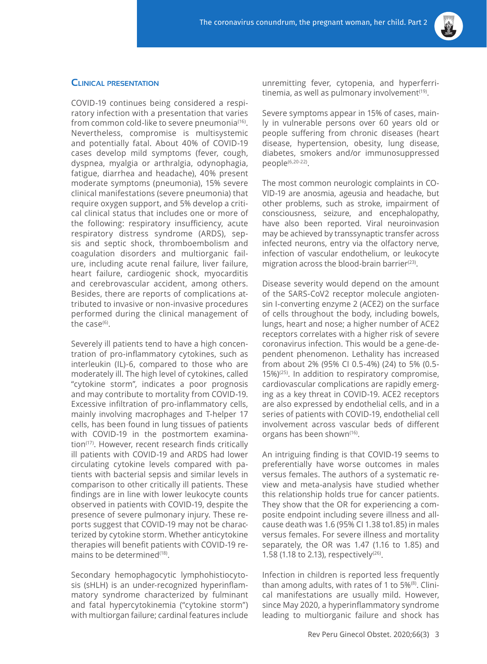

## **Clinical presentation**

COVID-19 continues being considered a respiratory infection with a presentation that varies from common cold-like to severe pneumonia<sup>(16)</sup>. Nevertheless, compromise is multisystemic and potentially fatal. About 40% of COVID-19 cases develop mild symptoms (fever, cough, dyspnea, myalgia or arthralgia, odynophagia, fatigue, diarrhea and headache), 40% present moderate symptoms (pneumonia), 15% severe clinical manifestations (severe pneumonia) that require oxygen support, and 5% develop a critical clinical status that includes one or more of the following: respiratory insufficiency, acute respiratory distress syndrome (ARDS), sepsis and septic shock, thromboembolism and coagulation disorders and multiorganic failure, including acute renal failure, liver failure, heart failure, cardiogenic shock, myocarditis and cerebrovascular accident, among others. Besides, there are reports of complications attributed to invasive or non-invasive procedures performed during the clinical management of the case $(6)$ .

Severely ill patients tend to have a high concentration of pro-inflammatory cytokines, such as interleukin (IL)-6, compared to those who are moderately ill. The high level of cytokines, called "cytokine storm", indicates a poor prognosis and may contribute to mortality from COVID-19. Excessive infiltration of pro-inflammatory cells, mainly involving macrophages and T-helper 17 cells, has been found in lung tissues of patients with COVID-19 in the postmortem examination<sup>(17)</sup>. However, recent research finds critically ill patients with COVID-19 and ARDS had lower circulating cytokine levels compared with patients with bacterial sepsis and similar levels in comparison to other critically ill patients. These findings are in line with lower leukocyte counts observed in patients with COVID-19, despite the presence of severe pulmonary injury. These reports suggest that COVID-19 may not be characterized by cytokine storm. Whether anticytokine therapies will benefit patients with COVID-19 remains to be determined<sup>(18)</sup>.

Secondary hemophagocytic lymphohistiocytosis (sHLH) is an under-recognized hyperinflammatory syndrome characterized by fulminant and fatal hypercytokinemia ("cytokine storm") with multiorgan failure; cardinal features include

unremitting fever, cytopenia, and hyperferritinemia, as well as pulmonary involvement $(19)$ .

Severe symptoms appear in 15% of cases, mainly in vulnerable persons over 60 years old or people suffering from chronic diseases (heart disease, hypertension, obesity, lung disease, diabetes, smokers and/or immunosuppressed people(6,20-22).

The most common neurologic complaints in CO-VID-19 are anosmia, ageusia and headache, but other problems, such as stroke, impairment of consciousness, seizure, and encephalopathy, have also been reported. Viral neuroinvasion may be achieved by transsynaptic transfer across infected neurons, entry via the olfactory nerve, infection of vascular endothelium, or leukocyte migration across the blood-brain barrier $(23)$ .

Disease severity would depend on the amount of the SARS-CoV2 receptor molecule angiotensin I-converting enzyme 2 (ACE2) on the surface of cells throughout the body, including bowels, lungs, heart and nose; a higher number of ACE2 receptors correlates with a higher risk of severe coronavirus infection. This would be a gene-dependent phenomenon. Lethality has increased from about 2% (95% CI 0.5-4%) (24) to 5% (0.5-  $15\%$ )<sup>(25)</sup>. In addition to respiratory compromise, cardiovascular complications are rapidly emerging as a key threat in COVID-19. ACE2 receptors are also expressed by endothelial cells, and in a series of patients with COVID-19, endothelial cell involvement across vascular beds of different organs has been shown<sup>(16)</sup>.

An intriguing finding is that COVID-19 seems to preferentially have worse outcomes in males versus females. The authors of a systematic review and meta-analysis have studied whether this relationship holds true for cancer patients. They show that the OR for experiencing a composite endpoint including severe illness and allcause death was 1.6 (95% CI 1.38 to1.85) in males versus females. For severe illness and mortality separately, the OR was 1.47 (1.16 to 1.85) and 1.58 (1.18 to 2.13), respectively<sup>(26)</sup>.

Infection in children is reported less frequently than among adults, with rates of 1 to 5%(8). Clinical manifestations are usually mild. However, since May 2020, a hyperinflammatory syndrome leading to multiorganic failure and shock has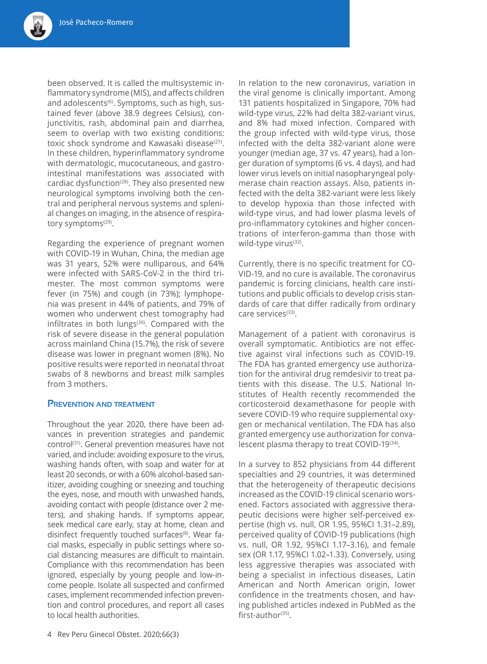been observed. It is called the multisystemic inflammatory syndrome (MIS), and affects children and adolescents<sup>(6)</sup>. Symptoms, such as high, sustained fever (above 38.9 degrees Celsius), conjunctivitis, rash, abdominal pain and diarrhea, seem to overlap with two existing conditions: toxic shock syndrome and Kawasaki disease<sup>(27)</sup>. In these children, hyperinflammatory syndrome with dermatologic, mucocutaneous, and gastrointestinal manifestations was associated with cardiac dysfunction<sup>(28)</sup>. They also presented new neurological symptoms involving both the central and peripheral nervous systems and splenial changes on imaging, in the absence of respiratory symptoms<sup>(29)</sup>.

Regarding the experience of pregnant women with COVID-19 in Wuhan, China, the median age was 31 years, 52% were nulliparous, and 64% were infected with SARS-CoV-2 in the third trimester. The most common symptoms were fever (in 75%) and cough (in 73%); lymphopenia was present in 44% of patients, and 79% of women who underwent chest tomography had infiltrates in both lungs<sup>(30)</sup>. Compared with the risk of severe disease in the general population across mainland China (15.7%), the risk of severe disease was lower in pregnant women (8%). No positive results were reported in neonatal throat swabs of 8 newborns and breast milk samples from 3 mothers.

## **Prevention and treatment**

Throughout the year 2020, there have been advances in prevention strategies and pandemic control<sup>(31)</sup>. General prevention measures have not varied, and include: avoiding exposure to the virus, washing hands often, with soap and water for at least 20 seconds, or with a 60% alcohol-based sanitizer, avoiding coughing or sneezing and touching the eyes, nose, and mouth with unwashed hands, avoiding contact with people (distance over 2 meters), and shaking hands. If symptoms appear, seek medical care early, stay at home, clean and disinfect frequently touched surfaces<sup>(8)</sup>. Wear facial masks, especially in public settings where social distancing measures are difficult to maintain. Compliance with this recommendation has been ignored, especially by young people and low-income people. Isolate all suspected and confirmed cases, implement recommended infection prevention and control procedures, and report all cases to local health authorities.

In relation to the new coronavirus, variation in the viral genome is clinically important. Among 131 patients hospitalized in Singapore, 70% had wild-type virus, 22% had delta 382-variant virus, and 8% had mixed infection. Compared with the group infected with wild-type virus, those infected with the delta 382-variant alone were younger (median age, 37 vs. 47 years), had a longer duration of symptoms (6 vs. 4 days), and had lower virus levels on initial nasopharyngeal polymerase chain reaction assays. Also, patients infected with the delta 382-variant were less likely to develop hypoxia than those infected with wild-type virus, and had lower plasma levels of pro-inflammatory cytokines and higher concentrations of interferon-gamma than those with wild-type virus<sup>(32)</sup>.

Currently, there is no specific treatment for CO-VID-19, and no cure is available. The coronavirus pandemic is forcing clinicians, health care institutions and public officials to develop crisis standards of care that differ radically from ordinary care services<sup>(33)</sup>.

Management of a patient with coronavirus is overall symptomatic. Antibiotics are not effective against viral infections such as COVID-19. The FDA has granted emergency use authorization for the antiviral drug remdesivir to treat patients with this disease. The U.S. National Institutes of Health recently recommended the corticosteroid dexamethasone for people with severe COVID-19 who require supplemental oxygen or mechanical ventilation. The FDA has also granted emergency use authorization for convalescent plasma therapy to treat COVID-19(34).

In a survey to 852 physicians from 44 different specialties and 29 countries, it was determined that the heterogeneity of therapeutic decisions increased as the COVID-19 clinical scenario worsened. Factors associated with aggressive therapeutic decisions were higher self-perceived expertise (high vs. null, OR 1.95, 95%CI 1.31–2.89), perceived quality of COVID-19 publications (high vs. null, OR 1.92, 95%CI 1.17–3.16), and female sex (OR 1.17, 95%CI 1.02–1.33). Conversely, using less aggressive therapies was associated with being a specialist in infectious diseases, Latin American and North American origin, lower confidence in the treatments chosen, and having published articles indexed in PubMed as the first-author<sup>(35)</sup>.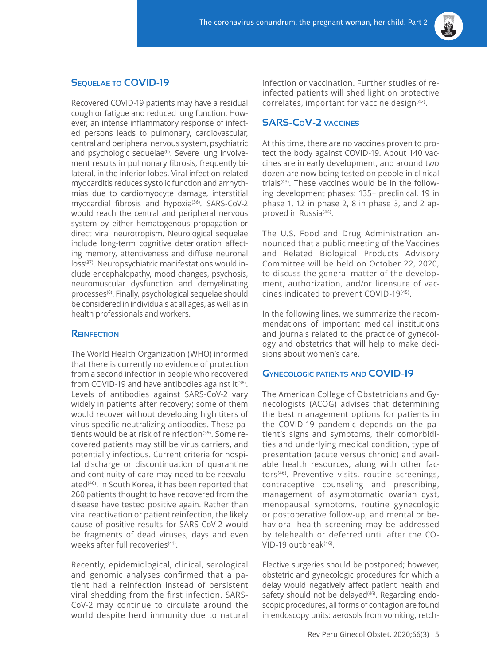

# **Sequelae to COVID-19**

Recovered COVID-19 patients may have a residual cough or fatigue and reduced lung function. However, an intense inflammatory response of infected persons leads to pulmonary, cardiovascular, central and peripheral nervous system, psychiatric and psychologic sequelae<sup>(6)</sup>. Severe lung involvement results in pulmonary fibrosis, frequently bilateral, in the inferior lobes. Viral infection-related myocarditis reduces systolic function and arrhythmias due to cardiomyocyte damage, interstitial myocardial fibrosis and hypoxia<sup>(36)</sup>. SARS-CoV-2 would reach the central and peripheral nervous system by either hematogenous propagation or direct viral neurotropism. Neurological sequelae include long-term cognitive deterioration affecting memory, attentiveness and diffuse neuronal loss<sup>(37)</sup>. Neuropsychiatric manifestations would include encephalopathy, mood changes, psychosis, neuromuscular dysfunction and demyelinating processes(6). Finally, psychological sequelae should be considered in individuals at all ages, as well as in health professionals and workers.

#### **Reinfection**

The World Health Organization (WHO) informed that there is currently no evidence of protection from a second infection in people who recovered from COVID-19 and have antibodies against it  $(38)$ . Levels of antibodies against SARS-CoV-2 vary widely in patients after recovery; some of them would recover without developing high titers of virus-specific neutralizing antibodies. These patients would be at risk of reinfection<sup>(39)</sup>. Some recovered patients may still be virus carriers, and potentially infectious. Current criteria for hospital discharge or discontinuation of quarantine and continuity of care may need to be reevaluated<sup>(40)</sup>. In South Korea, it has been reported that 260 patients thought to have recovered from the disease have tested positive again. Rather than viral reactivation or patient reinfection, the likely cause of positive results for SARS-CoV-2 would be fragments of dead viruses, days and even weeks after full recoveries<sup>(41)</sup>.

Recently, epidemiological, clinical, serological and genomic analyses confirmed that a patient had a reinfection instead of persistent viral shedding from the first infection. SARS-CoV-2 may continue to circulate around the world despite herd immunity due to natural infection or vaccination. Further studies of reinfected patients will shed light on protective correlates, important for vaccine design<sup>(42)</sup>.

# **SARS-CoV-2 vaccines**

At this time, there are no vaccines proven to protect the body against COVID-19. About 140 vaccines are in early development, and around two dozen are now being tested on people in clinical trial $s^{(43)}$ . These vaccines would be in the following development phases: 135+ preclinical, 19 in phase 1, 12 in phase 2, 8 in phase 3, and 2 approved in Russia<sup>(44)</sup>.

The U.S. Food and Drug Administration announced that a public meeting of the Vaccines and Related Biological Products Advisory Committee will be held on October 22, 2020, to discuss the general matter of the development, authorization, and/or licensure of vaccines indicated to prevent COVID-19<sup>(45)</sup>.

In the following lines, we summarize the recommendations of important medical institutions and journals related to the practice of gynecology and obstetrics that will help to make decisions about women's care.

#### **Gynecologic patients and COVID-19**

The American College of Obstetricians and Gynecologists (ACOG) advises that determining the best management options for patients in the COVID-19 pandemic depends on the patient's signs and symptoms, their comorbidities and underlying medical condition, type of presentation (acute versus chronic) and available health resources, along with other factors<sup>(46)</sup>. Preventive visits, routine screenings, contraceptive counseling and prescribing, management of asymptomatic ovarian cyst, menopausal symptoms, routine gynecologic or postoperative follow-up, and mental or behavioral health screening may be addressed by telehealth or deferred until after the CO-VID-19 outbreak $(46)$ .

Elective surgeries should be postponed; however, obstetric and gynecologic procedures for which a delay would negatively affect patient health and safety should not be delayed $(46)$ . Regarding endoscopic procedures, all forms of contagion are found in endoscopy units: aerosols from vomiting, retch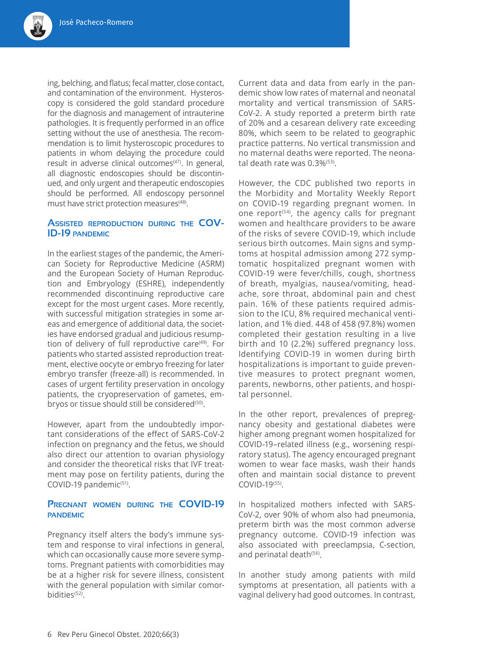ing, belching, and flatus; fecal matter, close contact, and contamination of the environment. Hysteroscopy is considered the gold standard procedure for the diagnosis and management of intrauterine pathologies. It is frequently performed in an office setting without the use of anesthesia. The recommendation is to limit hysteroscopic procedures to patients in whom delaying the procedure could result in adverse clinical outcomes<sup>(47)</sup>. In general, all diagnostic endoscopies should be discontinued, and only urgent and therapeutic endoscopies should be performed. All endoscopy personnel must have strict protection measures<sup>(48)</sup>.

## **Assisted reproduction during the COV-ID-19 pandemic**

In the earliest stages of the pandemic, the American Society for Reproductive Medicine (ASRM) and the European Society of Human Reproduction and Embryology (ESHRE), independently recommended discontinuing reproductive care except for the most urgent cases. More recently, with successful mitigation strategies in some areas and emergence of additional data, the societies have endorsed gradual and judicious resumption of delivery of full reproductive care<sup>(49)</sup>. For patients who started assisted reproduction treatment, elective oocyte or embryo freezing for later embryo transfer (freeze-all) is recommended. In cases of urgent fertility preservation in oncology patients, the cryopreservation of gametes, embryos or tissue should still be considered<sup>(50)</sup>.

However, apart from the undoubtedly important considerations of the effect of SARS-CoV-2 infection on pregnancy and the fetus, we should also direct our attention to ovarian physiology and consider the theoretical risks that IVF treatment may pose on fertility patients, during the COVID-19 pandemic<sup>(51)</sup>.

## **Pregnant women during the COVID-19 pandemic**

Pregnancy itself alters the body's immune system and response to viral infections in general, which can occasionally cause more severe symptoms. Pregnant patients with comorbidities may be at a higher risk for severe illness, consistent with the general population with similar comorbidities<sup>(52)</sup>.

Current data and data from early in the pandemic show low rates of maternal and neonatal mortality and vertical transmission of SARS-CoV-2. A study reported a preterm birth rate of 20% and a cesarean delivery rate exceeding 80%, which seem to be related to geographic practice patterns. No vertical transmission and no maternal deaths were reported. The neonatal death rate was 0.3%(53).

However, the CDC published two reports in the Morbidity and Mortality Weekly Report on COVID-19 regarding pregnant women. In one report<sup> $(54)$ </sup>, the agency calls for pregnant women and healthcare providers to be aware of the risks of severe COVID-19, which include serious birth outcomes. Main signs and symptoms at hospital admission among 272 symptomatic hospitalized pregnant women with COVID-19 were fever/chills, cough, shortness of breath, myalgias, nausea/vomiting, headache, sore throat, abdominal pain and chest pain. 16% of these patients required admission to the ICU, 8% required mechanical ventilation, and 1% died. 448 of 458 (97.8%) women completed their gestation resulting in a live birth and 10 (2.2%) suffered pregnancy loss. Identifying COVID-19 in women during birth hospitalizations is important to guide preventive measures to protect pregnant women, parents, newborns, other patients, and hospital personnel.

In the other report, prevalences of prepregnancy obesity and gestational diabetes were higher among pregnant women hospitalized for COVID-19–related illness (e.g., worsening respiratory status). The agency encouraged pregnant women to wear face masks, wash their hands often and maintain social distance to prevent COVID-19(55).

In hospitalized mothers infected with SARS-CoV-2, over 90% of whom also had pneumonia, preterm birth was the most common adverse pregnancy outcome. COVID-19 infection was also associated with preeclampsia, C-section, and perinatal death<sup>(56)</sup>.

In another study among patients with mild symptoms at presentation, all patients with a vaginal delivery had good outcomes. In contrast,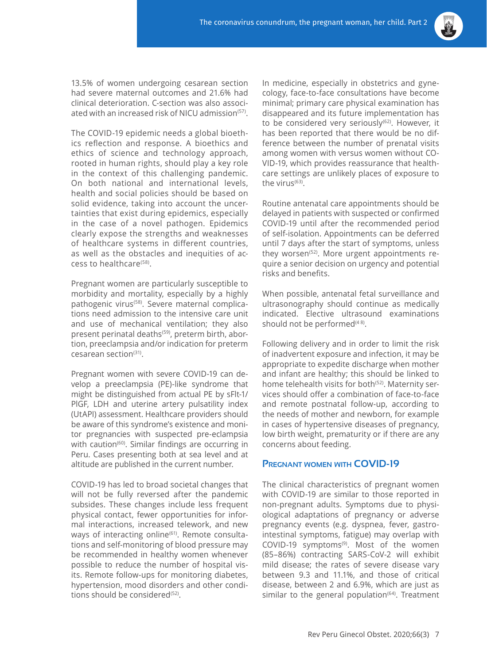

13.5% of women undergoing cesarean section had severe maternal outcomes and 21.6% had clinical deterioration. C-section was also associated with an increased risk of NICU admission<sup>(57)</sup>.

The COVID-19 epidemic needs a global bioethics reflection and response. A bioethics and ethics of science and technology approach, rooted in human rights, should play a key role in the context of this challenging pandemic. On both national and international levels, health and social policies should be based on solid evidence, taking into account the uncertainties that exist during epidemics, especially in the case of a novel pathogen. Epidemics clearly expose the strengths and weaknesses of healthcare systems in different countries, as well as the obstacles and inequities of access to healthcare(58).

Pregnant women are particularly susceptible to morbidity and mortality, especially by a highly pathogenic virus<sup>(58)</sup>. Severe maternal complications need admission to the intensive care unit and use of mechanical ventilation; they also present perinatal deaths<sup>(59)</sup>, preterm birth, abortion, preeclampsia and/or indication for preterm cesarean section<sup>(31)</sup>.

Pregnant women with severe COVID-19 can develop a preeclampsia (PE)-like syndrome that might be distinguished from actual PE by sFlt-1/ PlGF, LDH and uterine artery pulsatility index (UtAPI) assessment. Healthcare providers should be aware of this syndrome's existence and monitor pregnancies with suspected pre-eclampsia with caution<sup>(60)</sup>. Similar findings are occurring in Peru. Cases presenting both at sea level and at altitude are published in the current number.

COVID-19 has led to broad societal changes that will not be fully reversed after the pandemic subsides. These changes include less frequent physical contact, fewer opportunities for informal interactions, increased telework, and new ways of interacting online<sup>(61)</sup>. Remote consultations and self-monitoring of blood pressure may be recommended in healthy women whenever possible to reduce the number of hospital visits. Remote follow-ups for monitoring diabetes, hypertension, mood disorders and other conditions should be considered<sup>(52)</sup>.

In medicine, especially in obstetrics and gynecology, face-to-face consultations have become minimal; primary care physical examination has disappeared and its future implementation has to be considered very seriously<sup>(62)</sup>. However, it has been reported that there would be no difference between the number of prenatal visits among women with versus women without CO-VID-19, which provides reassurance that healthcare settings are unlikely places of exposure to the virus $^{(63)}$ .

Routine antenatal care appointments should be delayed in patients with suspected or confirmed COVID-19 until after the recommended period of self-isolation. Appointments can be deferred until 7 days after the start of symptoms, unless they worsen<sup>(52)</sup>. More urgent appointments require a senior decision on urgency and potential risks and benefits.

When possible, antenatal fetal surveillance and ultrasonography should continue as medically indicated. Elective ultrasound examinations should not be performed $(48)$ .

Following delivery and in order to limit the risk of inadvertent exposure and infection, it may be appropriate to expedite discharge when mother and infant are healthy; this should be linked to home telehealth visits for both<sup>(52)</sup>. Maternity services should offer a combination of face-to-face and remote postnatal follow-up, according to the needs of mother and newborn, for example in cases of hypertensive diseases of pregnancy, low birth weight, prematurity or if there are any concerns about feeding.

#### **Pregnant women with COVID-19**

The clinical characteristics of pregnant women with COVID-19 are similar to those reported in non-pregnant adults. Symptoms due to physiological adaptations of pregnancy or adverse pregnancy events (e.g. dyspnea, fever, gastrointestinal symptoms, fatigue) may overlap with COVID-19 symptoms<sup>(9)</sup>. Most of the women (85–86%) contracting SARS-CoV-2 will exhibit mild disease; the rates of severe disease vary between 9.3 and 11.1%, and those of critical disease, between 2 and 6.9%, which are just as similar to the general population<sup>(64)</sup>. Treatment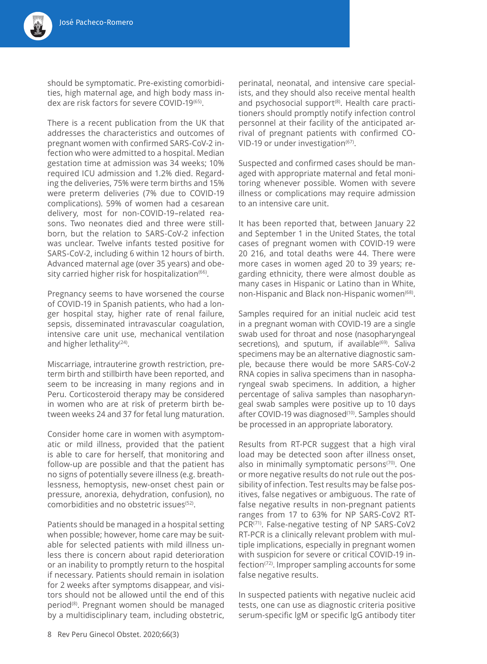should be symptomatic. Pre-existing comorbidities, high maternal age, and high body mass index are risk factors for severe COVID-19(65).

There is a recent publication from the UK that addresses the characteristics and outcomes of pregnant women with confirmed SARS-CoV-2 infection who were admitted to a hospital. Median gestation time at admission was 34 weeks; 10% required ICU admission and 1.2% died. Regarding the deliveries, 75% were term births and 15% were preterm deliveries (7% due to COVID-19 complications). 59% of women had a cesarean delivery, most for non-COVID-19–related reasons. Two neonates died and three were stillborn, but the relation to SARS-CoV-2 infection was unclear. Twelve infants tested positive for SARS-CoV-2, including 6 within 12 hours of birth. Advanced maternal age (over 35 years) and obesity carried higher risk for hospitalization<sup>(66)</sup>.

Pregnancy seems to have worsened the course of COVID-19 in Spanish patients, who had a longer hospital stay, higher rate of renal failure, sepsis, disseminated intravascular coagulation, intensive care unit use, mechanical ventilation and higher lethality<sup>(24)</sup>.

Miscarriage, intrauterine growth restriction, preterm birth and stillbirth have been reported, and seem to be increasing in many regions and in Peru. Corticosteroid therapy may be considered in women who are at risk of preterm birth between weeks 24 and 37 for fetal lung maturation.

Consider home care in women with asymptomatic or mild illness, provided that the patient is able to care for herself, that monitoring and follow-up are possible and that the patient has no signs of potentially severe illness (e.g. breathlessness, hemoptysis, new-onset chest pain or pressure, anorexia, dehydration, confusion), no comorbidities and no obstetric issues(52).

Patients should be managed in a hospital setting when possible; however, home care may be suitable for selected patients with mild illness unless there is concern about rapid deterioration or an inability to promptly return to the hospital if necessary. Patients should remain in isolation for 2 weeks after symptoms disappear, and visitors should not be allowed until the end of this period<sup>(8)</sup>. Pregnant women should be managed by a multidisciplinary team, including obstetric,

perinatal, neonatal, and intensive care specialists, and they should also receive mental health and psychosocial support<sup>(8)</sup>. Health care practitioners should promptly notify infection control personnel at their facility of the anticipated arrival of pregnant patients with confirmed CO-VID-19 or under investigation $(67)$ .

Suspected and confirmed cases should be managed with appropriate maternal and fetal monitoring whenever possible. Women with severe illness or complications may require admission to an intensive care unit.

It has been reported that, between January 22 and September 1 in the United States, the total cases of pregnant women with COVID-19 were 20 216, and total deaths were 44. There were more cases in women aged 20 to 39 years; regarding ethnicity, there were almost double as many cases in Hispanic or Latino than in White, non-Hispanic and Black non-Hispanic women<sup>(68)</sup>.

Samples required for an initial nucleic acid test in a pregnant woman with COVID-19 are a single swab used for throat and nose (nasopharyngeal secretions), and sputum, if available<sup>(69)</sup>. Saliva specimens may be an alternative diagnostic sample, because there would be more SARS-CoV-2 RNA copies in saliva specimens than in nasopharyngeal swab specimens. In addition, a higher percentage of saliva samples than nasopharyngeal swab samples were positive up to 10 days after COVID-19 was diagnosed<sup>(10)</sup>. Samples should be processed in an appropriate laboratory.

Results from RT-PCR suggest that a high viral load may be detected soon after illness onset, also in minimally symptomatic persons<sup>(70)</sup>. One or more negative results do not rule out the possibility of infection. Test results may be false positives, false negatives or ambiguous. The rate of false negative results in non-pregnant patients ranges from 17 to 63% for NP SARS-CoV2 RT-PCR<sup>(71)</sup>. False-negative testing of NP SARS-CoV2 RT-PCR is a clinically relevant problem with multiple implications, especially in pregnant women with suspicion for severe or critical COVID-19 infection<sup>(72)</sup>. Improper sampling accounts for some false negative results.

In suspected patients with negative nucleic acid tests, one can use as diagnostic criteria positive serum-specific lgM or specific lgG antibody titer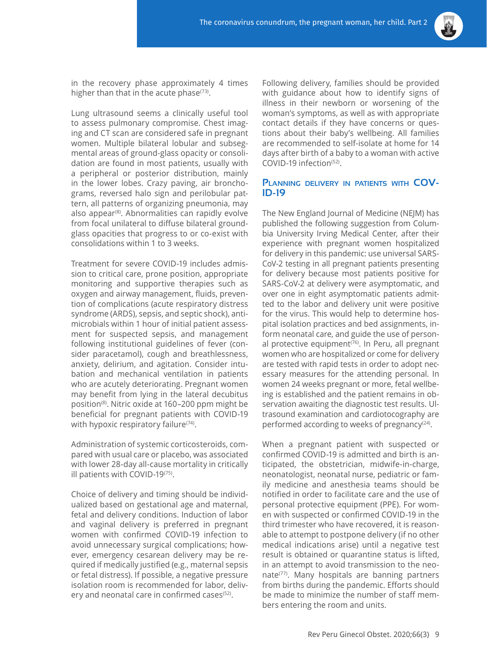

in the recovery phase approximately 4 times higher than that in the acute phase $(73)$ .

Lung ultrasound seems a clinically useful tool to assess pulmonary compromise. Chest imaging and CT scan are considered safe in pregnant women. Multiple bilateral lobular and subsegmental areas of ground-glass opacity or consolidation are found in most patients, usually with a peripheral or posterior distribution, mainly in the lower lobes. Crazy paving, air bronchograms, reversed halo sign and perilobular pattern, all patterns of organizing pneumonia, may also appear<sup>(8)</sup>. Abnormalities can rapidly evolve from focal unilateral to diffuse bilateral groundglass opacities that progress to or co-exist with consolidations within 1 to 3 weeks.

Treatment for severe COVID-19 includes admission to critical care, prone position, appropriate monitoring and supportive therapies such as oxygen and airway management, fluids, prevention of complications (acute respiratory distress syndrome (ARDS), sepsis, and septic shock), antimicrobials within 1 hour of initial patient assessment for suspected sepsis, and management following institutional guidelines of fever (consider paracetamol), cough and breathlessness, anxiety, delirium, and agitation. Consider intubation and mechanical ventilation in patients who are acutely deteriorating. Pregnant women may benefit from lying in the lateral decubitus position(8). Nitric oxide at 160–200 ppm might be beneficial for pregnant patients with COVID-19 with hypoxic respiratory failure<sup>(74)</sup>.

Administration of systemic corticosteroids, compared with usual care or placebo, was associated with lower 28-day all-cause mortality in critically ill patients with COVID-19(75).

Choice of delivery and timing should be individualized based on gestational age and maternal, fetal and delivery conditions. Induction of labor and vaginal delivery is preferred in pregnant women with confirmed COVID-19 infection to avoid unnecessary surgical complications; however, emergency cesarean delivery may be required if medically justified (e.g., maternal sepsis or fetal distress). If possible, a negative pressure isolation room is recommended for labor, delivery and neonatal care in confirmed cases<sup>(52)</sup>.

Following delivery, families should be provided with guidance about how to identify signs of illness in their newborn or worsening of the woman's symptoms, as well as with appropriate contact details if they have concerns or questions about their baby's wellbeing. All families are recommended to self-isolate at home for 14 days after birth of a baby to a woman with active COVID-19 infection(52).

## **Planning delivery in patients with COV-ID-19**

The New England Journal of Medicine (NEJM) has published the following suggestion from Columbia University Irving Medical Center, after their experience with pregnant women hospitalized for delivery in this pandemic: use universal SARS-CoV-2 testing in all pregnant patients presenting for delivery because most patients positive for SARS-CoV-2 at delivery were asymptomatic, and over one in eight asymptomatic patients admitted to the labor and delivery unit were positive for the virus. This would help to determine hospital isolation practices and bed assignments, inform neonatal care, and guide the use of personal protective equipment<sup> $(76)$ </sup>. In Peru, all pregnant women who are hospitalized or come for delivery are tested with rapid tests in order to adopt necessary measures for the attending personal. In women 24 weeks pregnant or more, fetal wellbeing is established and the patient remains in observation awaiting the diagnostic test results. Ultrasound examination and cardiotocography are performed according to weeks of pregnancy<sup>(24)</sup>.

When a pregnant patient with suspected or confirmed COVID-19 is admitted and birth is anticipated, the obstetrician, midwife-in-charge, neonatologist, neonatal nurse, pediatric or family medicine and anesthesia teams should be notified in order to facilitate care and the use of personal protective equipment (PPE). For women with suspected or confirmed COVID-19 in the third trimester who have recovered, it is reasonable to attempt to postpone delivery (if no other medical indications arise) until a negative test result is obtained or quarantine status is lifted, in an attempt to avoid transmission to the neonate(77). Many hospitals are banning partners from births during the pandemic. Efforts should be made to minimize the number of staff members entering the room and units.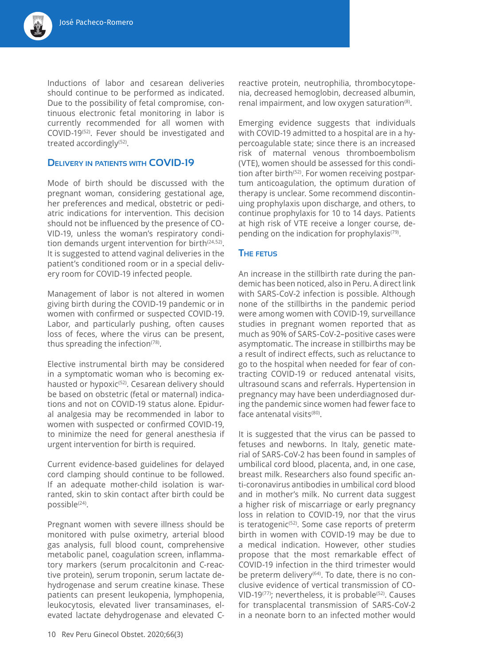Inductions of labor and cesarean deliveries should continue to be performed as indicated. Due to the possibility of fetal compromise, continuous electronic fetal monitoring in labor is currently recommended for all women with COVID-19(52). Fever should be investigated and treated accordingly<sup>(52)</sup>.

## **Delivery in patients with COVID-19**

Mode of birth should be discussed with the pregnant woman, considering gestational age, her preferences and medical, obstetric or pediatric indications for intervention. This decision should not be influenced by the presence of CO-VID-19, unless the woman's respiratory condition demands urgent intervention for birth $(24,52)$ . It is suggested to attend vaginal deliveries in the patient's conditioned room or in a special delivery room for COVID-19 infected people.

Management of labor is not altered in women giving birth during the COVID-19 pandemic or in women with confirmed or suspected COVID-19. Labor, and particularly pushing, often causes loss of feces, where the virus can be present, thus spreading the infection $(78)$ .

Elective instrumental birth may be considered in a symptomatic woman who is becoming exhausted or hypoxic<sup>(52)</sup>. Cesarean delivery should be based on obstetric (fetal or maternal) indications and not on COVID-19 status alone. Epidural analgesia may be recommended in labor to women with suspected or confirmed COVID-19, to minimize the need for general anesthesia if urgent intervention for birth is required.

Current evidence-based guidelines for delayed cord clamping should continue to be followed. If an adequate mother-child isolation is warranted, skin to skin contact after birth could be possible(24).

Pregnant women with severe illness should be monitored with pulse oximetry, arterial blood gas analysis, full blood count, comprehensive metabolic panel, coagulation screen, inflammatory markers (serum procalcitonin and C-reactive protein), serum troponin, serum lactate dehydrogenase and serum creatine kinase. These patients can present leukopenia, lymphopenia, leukocytosis, elevated liver transaminases, elevated lactate dehydrogenase and elevated C-

reactive protein, neutrophilia, thrombocytopenia, decreased hemoglobin, decreased albumin, renal impairment, and low oxygen saturation<sup>(8)</sup>.

Emerging evidence suggests that individuals with COVID-19 admitted to a hospital are in a hypercoagulable state; since there is an increased risk of maternal venous thromboembolism (VTE), women should be assessed for this condition after birth<sup>(52)</sup>. For women receiving postpartum anticoagulation, the optimum duration of therapy is unclear. Some recommend discontinuing prophylaxis upon discharge, and others, to continue prophylaxis for 10 to 14 days. Patients at high risk of VTE receive a longer course, depending on the indication for prophylaxis $(79)$ .

#### **The fetus**

An increase in the stillbirth rate during the pandemic has been noticed, also in Peru. A direct link with SARS-CoV-2 infection is possible. Although none of the stillbirths in the pandemic period were among women with COVID-19, surveillance studies in pregnant women reported that as much as 90% of SARS-CoV-2–positive cases were asymptomatic. The increase in stillbirths may be a result of indirect effects, such as reluctance to go to the hospital when needed for fear of contracting COVID-19 or reduced antenatal visits, ultrasound scans and referrals. Hypertension in pregnancy may have been underdiagnosed during the pandemic since women had fewer face to face antenatal visits<sup>(80)</sup>.

It is suggested that the virus can be passed to fetuses and newborns. In Italy, genetic material of SARS-CoV-2 has been found in samples of umbilical cord blood, placenta, and, in one case, breast milk. Researchers also found specific anti-coronavirus antibodies in umbilical cord blood and in mother's milk. No current data suggest a higher risk of miscarriage or early pregnancy loss in relation to COVID-19, nor that the virus is teratogenic<sup>(52)</sup>. Some case reports of preterm birth in women with COVID-19 may be due to a medical indication. However, other studies propose that the most remarkable effect of COVID-19 infection in the third trimester would be preterm delivery<sup>(64)</sup>. To date, there is no conclusive evidence of vertical transmission of CO-VID-19<sup>(77)</sup>; nevertheless, it is probable<sup>(52)</sup>. Causes for transplacental transmission of SARS-CoV-2 in a neonate born to an infected mother would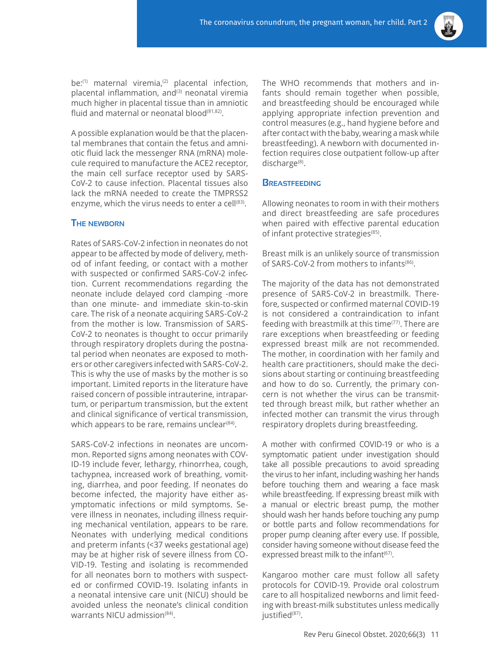

be: $(1)$  maternal viremia, $(2)$  placental infection, placental inflammation, and<sup>(3)</sup> neonatal viremia much higher in placental tissue than in amniotic fluid and maternal or neonatal blood<sup>(81,82)</sup>.

A possible explanation would be that the placental membranes that contain the fetus and amniotic fluid lack the messenger RNA (mRNA) molecule required to manufacture the ACE2 receptor, the main cell surface receptor used by SARS-CoV-2 to cause infection. Placental tissues also lack the mRNA needed to create the TMPRSS2 enzyme, which the virus needs to enter a cell $(83)$ .

## **The newborn**

Rates of SARS-CoV-2 infection in neonates do not appear to be affected by mode of delivery, method of infant feeding, or contact with a mother with suspected or confirmed SARS-CoV-2 infection. Current recommendations regarding the neonate include delayed cord clamping -more than one minute- and immediate skin-to-skin care. The risk of a neonate acquiring SARS-CoV-2 from the mother is low. Transmission of SARS-CoV-2 to neonates is thought to occur primarily through respiratory droplets during the postnatal period when neonates are exposed to mothers or other caregivers infected with SARS-CoV-2. This is why the use of masks by the mother is so important. Limited reports in the literature have raised concern of possible intrauterine, intrapartum, or peripartum transmission, but the extent and clinical significance of vertical transmission, which appears to be rare, remains unclear $(84)$ .

SARS-CoV-2 infections in neonates are uncommon. Reported signs among neonates with COV-ID-19 include fever, lethargy, rhinorrhea, cough, tachypnea, increased work of breathing, vomiting, diarrhea, and poor feeding. If neonates do become infected, the majority have either asymptomatic infections or mild symptoms. Severe illness in neonates, including illness requiring mechanical ventilation, appears to be rare. Neonates with underlying medical conditions and preterm infants (<37 weeks gestational age) may be at higher risk of severe illness from CO-VID-19. Testing and isolating is recommended for all neonates born to mothers with suspected or confirmed COVID-19. Isolating infants in a neonatal intensive care unit (NICU) should be avoided unless the neonate's clinical condition warrants NICU admission<sup>(84)</sup>.

The WHO recommends that mothers and infants should remain together when possible, and breastfeeding should be encouraged while applying appropriate infection prevention and control measures (e.g., hand hygiene before and after contact with the baby, wearing a mask while breastfeeding). A newborn with documented infection requires close outpatient follow-up after discharge<sup>(8)</sup>.

## **Breastfeeding**

Allowing neonates to room in with their mothers and direct breastfeeding are safe procedures when paired with effective parental education of infant protective strategies<sup>(85)</sup>.

Breast milk is an unlikely source of transmission of SARS-CoV-2 from mothers to infants(86).

The majority of the data has not demonstrated presence of SARS-CoV-2 in breastmilk. Therefore, suspected or confirmed maternal COVID-19 is not considered a contraindication to infant feeding with breastmilk at this time<sup>(77)</sup>. There are rare exceptions when breastfeeding or feeding expressed breast milk are not recommended. The mother, in coordination with her family and health care practitioners, should make the decisions about starting or continuing breastfeeding and how to do so. Currently, the primary concern is not whether the virus can be transmitted through breast milk, but rather whether an infected mother can transmit the virus through respiratory droplets during breastfeeding.

A mother with confirmed COVID-19 or who is a symptomatic patient under investigation should take all possible precautions to avoid spreading the virus to her infant, including washing her hands before touching them and wearing a face mask while breastfeeding. If expressing breast milk with a manual or electric breast pump, the mother should wash her hands before touching any pump or bottle parts and follow recommendations for proper pump cleaning after every use. If possible, consider having someone without disease feed the expressed breast milk to the infant<sup>(67)</sup>.

Kangaroo mother care must follow all safety protocols for COVID-19. Provide oral colostrum care to all hospitalized newborns and limit feeding with breast-milk substitutes unless medically justified<sup>(87)</sup>.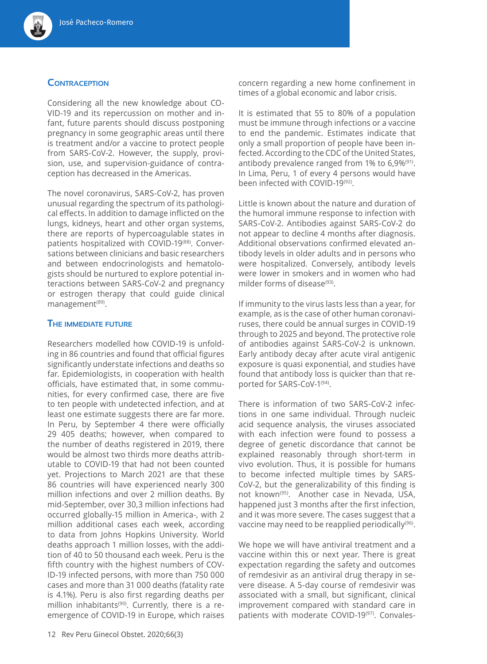## **Contraception**

Considering all the new knowledge about CO-VID-19 and its repercussion on mother and infant, future parents should discuss postponing pregnancy in some geographic areas until there is treatment and/or a vaccine to protect people from SARS-CoV-2. However, the supply, provision, use, and supervision-guidance of contraception has decreased in the Americas.

The novel coronavirus, SARS-CoV-2, has proven unusual regarding the spectrum of its pathological effects. In addition to damage inflicted on the lungs, kidneys, heart and other organ systems, there are reports of hypercoagulable states in patients hospitalized with COVID-19(88). Conversations between clinicians and basic researchers and between endocrinologists and hematologists should be nurtured to explore potential interactions between SARS-CoV-2 and pregnancy or estrogen therapy that could guide clinical management<sup>(89)</sup>.

#### **The immediate future**

Researchers modelled how COVID-19 is unfolding in 86 countries and found that official figures significantly understate infections and deaths so far. Epidemiologists, in cooperation with health officials, have estimated that, in some communities, for every confirmed case, there are five to ten people with undetected infection, and at least one estimate suggests there are far more. In Peru, by September 4 there were officially 29 405 deaths; however, when compared to the number of deaths registered in 2019, there would be almost two thirds more deaths attributable to COVID-19 that had not been counted yet. Projections to March 2021 are that these 86 countries will have experienced nearly 300 million infections and over 2 million deaths. By mid-September, over 30,3 million infections had occurred globally-15 million in America-, with 2 million additional cases each week, according to data from Johns Hopkins University. World deaths approach 1 million losses, with the addition of 40 to 50 thousand each week. Peru is the fifth country with the highest numbers of COV-ID-19 infected persons, with more than 750 000 cases and more than 31 000 deaths (fatality rate is 4.1%). Peru is also first regarding deaths per million inhabitants<sup>(90)</sup>. Currently, there is a reemergence of COVID-19 in Europe, which raises

It is estimated that 55 to 80% of a population must be immune through infections or a vaccine to end the pandemic. Estimates indicate that only a small proportion of people have been infected. According to the CDC of the United States, antibody prevalence ranged from 1% to 6,9%(91). In Lima, Peru, 1 of every 4 persons would have been infected with COVID-19<sup>(92)</sup>.

Little is known about the nature and duration of the humoral immune response to infection with SARS-CoV-2. Antibodies against SARS-CoV-2 do not appear to decline 4 months after diagnosis. Additional observations confirmed elevated antibody levels in older adults and in persons who were hospitalized. Conversely, antibody levels were lower in smokers and in women who had milder forms of disease<sup>(93)</sup>.

If immunity to the virus lasts less than a year, for example, as is the case of other human coronaviruses, there could be annual surges in COVID-19 through to 2025 and beyond. The protective role of antibodies against SARS-CoV-2 is unknown. Early antibody decay after acute viral antigenic exposure is quasi exponential, and studies have found that antibody loss is quicker than that reported for SARS-CoV-1<sup>(94)</sup>.

There is information of two SARS-CoV-2 infections in one same individual. Through nucleic acid sequence analysis, the viruses associated with each infection were found to possess a degree of genetic discordance that cannot be explained reasonably through short-term in vivo evolution. Thus, it is possible for humans to become infected multiple times by SARS-CoV-2, but the generalizability of this finding is not known<sup>(95)</sup>. Another case in Nevada, USA, happened just 3 months after the first infection, and it was more severe. The cases suggest that a vaccine may need to be reapplied periodically<sup>(96)</sup>.

We hope we will have antiviral treatment and a vaccine within this or next year. There is great expectation regarding the safety and outcomes of remdesivir as an antiviral drug therapy in severe disease. A 5-day course of remdesivir was associated with a small, but significant, clinical improvement compared with standard care in patients with moderate COVID-19<sup>(97)</sup>. Convales-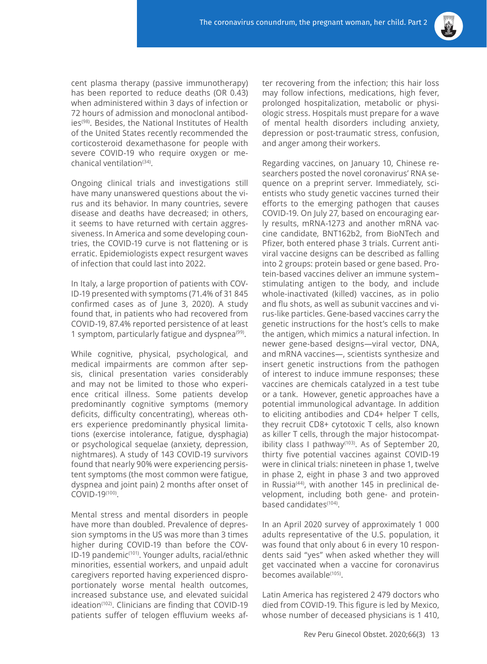

cent plasma therapy (passive immunotherapy) has been reported to reduce deaths (OR 0.43) when administered within 3 days of infection or 72 hours of admission and monoclonal antibodies<sup>(98)</sup>. Besides, the National Institutes of Health of the United States recently recommended the corticosteroid dexamethasone for people with severe COVID-19 who require oxygen or mechanical ventilation(34).

Ongoing clinical trials and investigations still have many unanswered questions about the virus and its behavior. In many countries, severe disease and deaths have decreased; in others, it seems to have returned with certain aggressiveness. In America and some developing countries, the COVID-19 curve is not flattening or is erratic. Epidemiologists expect resurgent waves of infection that could last into 2022.

In Italy, a large proportion of patients with COV-ID-19 presented with symptoms (71.4% of 31 845 confirmed cases as of June 3, 2020). A study found that, in patients who had recovered from COVID-19, 87.4% reported persistence of at least 1 symptom, particularly fatigue and dyspnea $(99)$ .

While cognitive, physical, psychological, and medical impairments are common after sepsis, clinical presentation varies considerably and may not be limited to those who experience critical illness. Some patients develop predominantly cognitive symptoms (memory deficits, difficulty concentrating), whereas others experience predominantly physical limitations (exercise intolerance, fatigue, dysphagia) or psychological sequelae (anxiety, depression, nightmares). A study of 143 COVID-19 survivors found that nearly 90% were experiencing persistent symptoms (the most common were fatigue, dyspnea and joint pain) 2 months after onset of COVID-19(100).

Mental stress and mental disorders in people have more than doubled. Prevalence of depression symptoms in the US was more than 3 times higher during COVID-19 than before the COV-ID-19 pandemic(101). Younger adults, racial/ethnic minorities, essential workers, and unpaid adult caregivers reported having experienced disproportionately worse mental health outcomes, increased substance use, and elevated suicidal ideation<sup>(102)</sup>. Clinicians are finding that COVID-19 patients suffer of telogen effluvium weeks after recovering from the infection; this hair loss may follow infections, medications, high fever, prolonged hospitalization, metabolic or physiologic stress. Hospitals must prepare for a wave of mental health disorders including anxiety, depression or post-traumatic stress, confusion, and anger among their workers.

Regarding vaccines, on January 10, Chinese researchers posted the novel coronavirus' RNA sequence on a preprint server. Immediately, scientists who study genetic vaccines turned their efforts to the emerging pathogen that causes COVID-19. On July 27, based on encouraging early results, mRNA-1273 and another mRNA vaccine candidate, BNT162b2, from BioNTech and Pfizer, both entered phase 3 trials. Current antiviral vaccine designs can be described as falling into 2 groups: protein based or gene based. Protein-based vaccines deliver an immune system– stimulating antigen to the body, and include whole-inactivated (killed) vaccines, as in polio and flu shots, as well as subunit vaccines and virus-like particles. Gene-based vaccines carry the genetic instructions for the host's cells to make the antigen, which mimics a natural infection. In newer gene-based designs—viral vector, DNA, and mRNA vaccines—, scientists synthesize and insert genetic instructions from the pathogen of interest to induce immune responses; these vaccines are chemicals catalyzed in a test tube or a tank. However, genetic approaches have a potential immunological advantage. In addition to eliciting antibodies and CD4+ helper T cells, they recruit CD8+ cytotoxic T cells, also known as killer T cells, through the major histocompatibility class I pathway<sup> $(103)$ </sup>. As of September 20, thirty five potential vaccines against COVID-19 were in clinical trials: nineteen in phase 1, twelve in phase 2, eight in phase 3 and two approved in Russia<sup>(44)</sup>, with another 145 in preclinical development, including both gene- and proteinbased candidates<sup>(104)</sup>.

In an April 2020 survey of approximately 1 000 adults representative of the U.S. population, it was found that only about 6 in every 10 respondents said "yes" when asked whether they will get vaccinated when a vaccine for coronavirus becomes available<sup>(105)</sup>.

Latin America has registered 2 479 doctors who died from COVID-19. This figure is led by Mexico, whose number of deceased physicians is 1 410,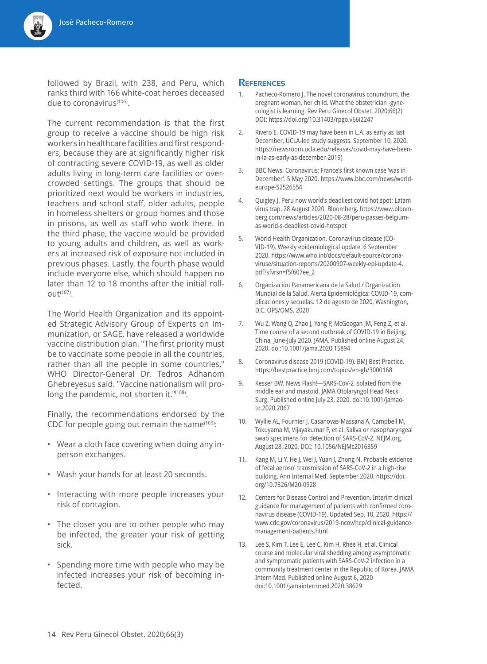

The current recommendation is that the first group to receive a vaccine should be high risk workers in healthcare facilities and first responders, because they are at significantly higher risk of contracting severe COVID-19, as well as older adults living in long-term care facilities or overcrowded settings. The groups that should be prioritized next would be workers in industries, teachers and school staff, older adults, people in homeless shelters or group homes and those in prisons, as well as staff who work there. In the third phase, the vaccine would be provided to young adults and children, as well as workers at increased risk of exposure not included in previous phases. Lastly, the fourth phase would include everyone else, which should happen no later than 12 to 18 months after the initial roll- $Out^{(107)}$ .

The World Health Organization and its appointed Strategic Advisory Group of Experts on Immunization, or SAGE, have released a worldwide vaccine distribution plan. "The first priority must be to vaccinate some people in all the countries, rather than all the people in some countries," WHO Director-General Dr. Tedros Adhanom Ghebreyesus said. "Vaccine nationalism will prolong the pandemic, not shorten it."(108).

Finally, the recommendations endorsed by the CDC for people going out remain the same $(109)$ :

- Wear a cloth face covering when doing any inperson exchanges.
- Wash your hands for at least 20 seconds.
- Interacting with more people increases your risk of contagion.
- The closer you are to other people who may be infected, the greater your risk of getting sick.
- Spending more time with people who may be infected increases your risk of becoming infected.

#### **References**

- 1. Pacheco-Romero J. The novel coronavirus conundrum, the pregnant woman, her child. What the obstetrician -gynecologist is learning. Rev Peru Ginecol Obstet. 2020;66(2) DOI: https://doi.org/10.31403/rpgo.v66i2247
- 2. Rivero E. COVID-19 may have been in L.A. as early as last December, UCLA-led study suggests. September 10, 2020. https://newsroom.ucla.edu/releases/covid-may-have-beenin-la-as-early-as-december-2019)
- 3. BBC News. Coronavirus: France's first known case 'was in December'. 5 May 2020. https://www.bbc.com/news/worldeurope-52526554
- 4. Quigley J. Peru now world's deadliest covid hot spot: Latam virus trap. 28 August 2020. Bloomberg. https://www.bloomberg.com/news/articles/2020-08-28/peru-passes-belgiumas-world-s-deadliest-covid-hotspot
- 5. World Health Organization. Coronavirus disease (CO-VID-19). Weekly epidemiological update. 6 September 2020. https://www.who.int/docs/default-source/coronaviruse/situation-reports/20200907-weekly-epi-update-4. pdf?sfvrsn=f5f607ee\_2
- 6. Organización Panamericana de la Salud / Organización Mundial de la Salud. Alerta Epidemiológica: COVID-19, complicaciones y secuelas. 12 de agosto de 2020, Washington, D.C. OPS/OMS. 2020
- 7. Wu Z, Wang Q, Zhao J, Yang P, McGoogan JM, Feng Z, et al. Time course of a second outbreak of COVID-19 in Beijing, China, June-July 2020. JAMA. Published online August 24, 2020. doi:10.1001/jama.2020.15894
- 8. Coronavirus disease 2019 (COVID-19). BMJ Best Practice. https://bestpractice.bmj.com/topics/en-gb/3000168
- 9. Kesser BW. News Flash!—SARS-CoV-2 isolated from the middle ear and mastoid. JAMA Otolaryngol Head Neck Surg. Published online July 23, 2020. doi:10.1001/jamaoto.2020.2067
- 10. Wyllie AL, Fournier J, Casanovas-Massana A, Campbell M, Tokuyama M, Vijayakumar P, et al. Saliva or nasopharyngeal swab specimens for detection of SARS-CoV-2. NEJM.org. August 28, 2020. DOI: 10.1056/NEJMc2016359
- 11. Kang M, Li Y, He J, Wei J, Yuan J, Zhong N. Probable evidence of fecal aerosol transmission of SARS-CoV-2 in a high-rise building. Ann Internal Med. September 2020. https://doi. org/10.7326/M20-0928
- 12. Centers for Disease Control and Prevention. Interim clinical guidance for management of patients with confirmed coronavirus disease (COVID-19). Updated Sep. 10, 2020. https:// www.cdc.gov/coronavirus/2019-ncov/hcp/clinical-guidancemanagement-patients.html
- 13. Lee S, Kim T, Lee E, Lee C, Kim H, Rhee H, et al. Clinical course and molecular viral shedding among asymptomatic and symptomatic patients with SARS-CoV-2 infection in a community treatment center in the Republic of Korea. JAMA Intern Med. Published online August 6, 2020 doi:10.1001/jamainternmed.2020.38629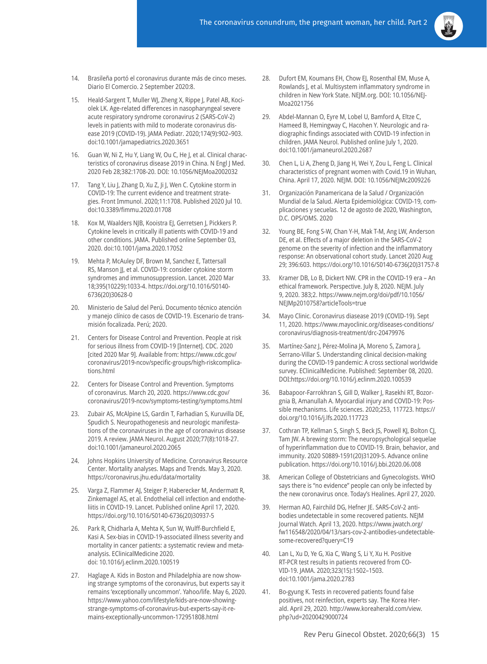- 14. Brasileña portó el coronavirus durante más de cinco meses. Diario El Comercio. 2 September 2020:8.
- 15. Heald-Sargent T, Muller WJ, Zheng X, Rippe J, Patel AB, Kociolek LK. Age-related differences in nasopharyngeal severe acute respiratory syndrome coronavirus 2 (SARS-CoV-2) levels in patients with mild to moderate coronavirus disease 2019 (COVID-19). JAMA Pediatr. 2020;174(9):902–903. doi:10.1001/jamapediatrics.2020.3651
- 16. Guan W, Ni Z, Hu Y, Liang W, Ou C, He J, et al. Clinical characteristics of coronavirus disease 2019 in China. N Engl J Med. 2020 Feb 28;382:1708-20. DOI: 10.1056/NEJMoa2002032
- 17. Tang Y, Liu J, Zhang D, Xu Z, Ji J, Wen C. Cytokine storm in COVID-19: The current evidence and treatment strategies. Front Immunol. 2020;11:1708. Published 2020 Jul 10. doi:10.3389/fimmu.2020.01708
- 18. Kox M, Waalders NJB, Kooistra EJ, Gerretsen J, Pickkers P. Cytokine levels in critically ill patients with COVID-19 and other conditions. JAMA. Published online September 03, 2020. doi:10.1001/jama.2020.17052
- 19. Mehta P, McAuley DF, Brown M, Sanchez E, Tattersall RS, Manson JJ, et al. COVID-19: consider cytokine storm syndromes and immunosuppression. Lancet. 2020 Mar 18;395(10229):1033-4. https://doi.org/10.1016/S0140- 6736(20)30628-0
- 20. Ministerio de Salud del Perú. Documento técnico atención y manejo clínico de casos de COVID-19. Escenario de transmisión focalizada. Perú; 2020.
- 21. Centers for Disease Control and Prevention. People at risk for serious illness from COVID-19 [Internet]. CDC. 2020 [cited 2020 Mar 9]. Available from: https://www.cdc.gov/ coronavirus/2019-ncov/specific-groups/high-riskcomplications.html
- 22. Centers for Disease Control and Prevention. Symptoms of coronavirus. March 20, 2020. https://www.cdc.gov/ coronavirus/2019-ncov/symptoms-testing/symptoms.html
- 23. Zubair AS, McAlpine LS, Gardin T, Farhadian S, Kuruvilla DE, Spudich S. Neuropathogenesis and neurologic manifestations of the coronaviruses in the age of coronavirus disease 2019. A review. JAMA Neurol. August 2020;77(8):1018-27. doi:10.1001/jamaneurol.2020.2065
- 24. Johns Hopkins University of Medicine. Coronavirus Resource Center. Mortality analyses. Maps and Trends. May 3, 2020. https://coronavirus.jhu.edu/data/mortality
- 25. Varga Z, Flammer AJ, Steiger P, Haberecker M, Andermatt R, Zinkemagel AS, et al. Endothelial cell infection and endotheliitis in COVID-19. Lancet. Published online April 17, 2020. https://doi.org/10.1016/S0140-6736(20)30937-5
- 26. Park R, Chidharla A, Mehta K, Sun W, Wulff-Burchfield E, Kasi A. Sex-bias in COVID-19-associated illness severity and mortality in cancer patients: a systematic review and metaanalysis. EClinicalMedicine 2020. doi: 10.1016/j.eclinm.2020.100519
- 27. Haglage A. Kids in Boston and Philadelphia are now showing strange symptoms of the coronavirus, but experts say it remains 'exceptionally uncommon'. Yahoo/life. May 6, 2020. https://www.yahoo.com/lifestyle/kids-are-now-showingstrange-symptoms-of-coronavirus-but-experts-say-it-remains-exceptionally-uncommon-172951808.html
- 28. Dufort EM, Koumans EH, Chow EJ, Rosenthal EM, Muse A, Rowlands J, et al. Multisystem inflammatory syndrome in children in New York State. NEJM.org. DOI: 10.1056/NEJ-Moa2021756
- 29. Abdel-Mannan O, Eyre M, Lobel U, Bamford A, Eltze C, Hameed B, Hemingway C, Hacohen Y. Neurologic and radiographic findings associated with COVID-19 infection in children. JAMA Neurol. Published online July 1, 2020. doi:10.1001/jamaneurol.2020.2687
- 30. Chen L, Li A, Zheng D, Jiang H, Wei Y, Zou L, Feng L. Clinical characteristics of pregnant women with Covid.19 in Wuhan, China. April 17, 2020. NEJM. DOI: 10.1056/NEJMc2009226
- 31. Organización Panamericana de la Salud / Organización Mundial de la Salud. Alerta Epidemiológica: COVID-19, complicaciones y secuelas. 12 de agosto de 2020, Washington, D.C. OPS/OMS. 2020
- 32. Young BE, Fong S-W, Chan Y-H, Mak T-M, Ang LW, Anderson DE, et al. Effects of a major deletion in the SARS-CoV-2 genome on the severity of infection and the inflammatory response: An observational cohort study. Lancet 2020 Aug 29; 396:603. https://doi.org/10.1016/S0140-6736(20)31757-8
- 33. Kramer DB, Lo B, Dickert NW. CPR in the COVID-19 era An ethical framework. Perspective. July 8, 2020. NEJM. July 9, 2020. 383;2. https://www.nejm.org/doi/pdf/10.1056/ NEJMp2010758?articleTools=true
- 34. Mayo Clinic. Coronavirus diasease 2019 (COVID-19). Sept 11, 2020. https://www.mayoclinic.org/diseases-conditions/ coronavirus/diagnosis-treatment/drc-20479976
- 35. Martínez-Sanz J, Pérez-Molina JA, Moreno S, Zamora J, Serrano-Villar S. Understanding clinical decision-making during the COVID-19 pandemic: A cross sectional worldwide survey. EClinicalMedicine. Published: September 08, 2020. DOI:https://doi.org/10.1016/j.eclinm.2020.100539
- 36. Babapoor-Farrokhran S, Gill D, Walker J, Rasekhi RT, Bozorgnia B, Amanullah A. Myocardial injury and COVID-19: Possible mechanisms. Life sciences. 2020;253, 117723. https:// doi.org/10.1016/j.lfs.2020.117723
- 37. Cothran TP, Kellman S, Singh S, Beck JS, Powell KJ, Bolton CJ, Tam JW. A brewing storm: The neuropsychological sequelae of hyperinflammation due to COVID-19. Brain, behavior, and immunity. 2020 S0889-1591(20)31209-5. Advance online publication. https://doi.org/10.1016/j.bbi.2020.06.008
- 38. American College of Obstetricians and Gynecologists. WHO says there is "no evidence" people can only be infected by the new coronavirus once. Today's Healines. April 27, 2020.
- 39. Herman AO, Fairchild DG, Hefner JE. SARS-CoV-2 antibodies undetectable in some recovered patients. NEJM Journal Watch. April 13, 2020. https://www.jwatch.org/ fw116548/2020/04/13/sars-cov-2-antibodies-undetectablesome-recovered?query=C19
- 40. Lan L, Xu D, Ye G, Xia C, Wang S, Li Y, Xu H. Positive RT-PCR test results in patients recovered from CO-VID-19. JAMA. 2020;323(15):1502–1503. doi:10.1001/jama.2020.2783
- 41. Bo-gyung K. Tests in recovered patients found false positives, not reinfection, experts say. The Korea Herald. April 29, 2020. http://www.koreaherald.com/view. php?ud=20200429000724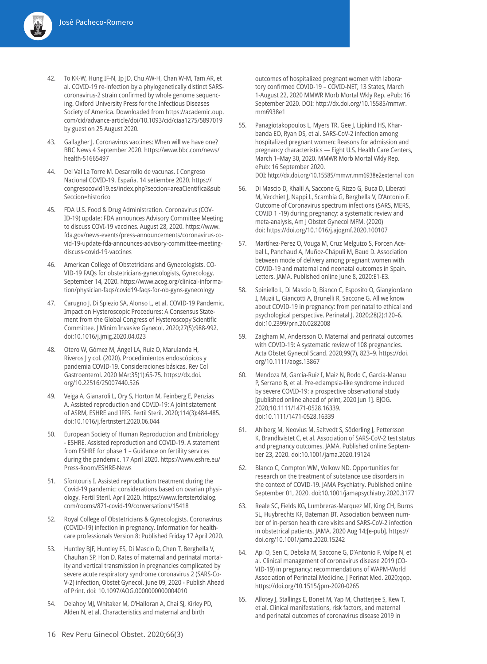- 42. To KK-W, Hung IF-N, Ip JD, Chu AW-H, Chan W-M, Tam AR, et al. COVID-19 re-infection by a phylogenetically distinct SARScoronavirus-2 strain confirmed by whole genome sequencing. Oxford University Press for the Infectious Diseases Society of America. Downloaded from https://academic.oup. com/cid/advance-article/doi/10.1093/cid/ciaa1275/5897019 by guest on 25 August 2020.
- 43. Gallagher J. Coronavirus vaccines: When will we have one? BBC News 4 September 2020. https://www.bbc.com/news/ health-51665497
- 44. Del Val La Torre M. Desarrollo de vacunas. I Congreso Nacional COVID-19. España. 14 setiembre 2020. https:// congresocovid19.es/index.php?seccion=areaCientifica&sub Seccion=historico
- 45. FDA U.S. Food & Drug Administration. Coronavirus (COV-ID-19) update: FDA announces Advisory Committee Meeting to discuss COVI-19 vaccines. August 28, 2020. https://www. fda.gov/news-events/press-announcements/coronavirus-covid-19-update-fda-announces-advisory-committee-meetingdiscuss-covid-19-vaccines
- 46. American College of Obstetricians and Gynecologists. CO-VID-19 FAQs for obstetricians-gynecologists, Gynecology. September 14, 2020. https://www.acog.org/clinical-information/physician-faqs/covid19-faqs-for-ob-gyns-gynecology
- 47. Carugno J, Di Spiezio SA, Alonso L, et al. COVID-19 Pandemic. Impact on Hysteroscopic Procedures: A Consensus Statement from the Global Congress of Hysteroscopy Scientific Committee. J Minim Invasive Gynecol. 2020;27(5):988-992. doi:10.1016/j.jmig.2020.04.023
- 48. Otero W, Gómez M, Ángel LA, Ruiz O, Marulanda H, Riveros J y col. (2020). Procedimientos endoscópicos y pandemia COVID-19. Consideraciones básicas. Rev Col Gastroenterol. 2020 MAr;35(1):65-75. https://dx.doi. org/10.22516/25007440.526
- 49. Veiga A, Gianaroli L, Ory S, Horton M, Feinberg E, Penzias A. Assisted reproduction and COVID-19: A joint statement of ASRM, ESHRE and IFFS. Fertil Steril. 2020;114(3):484-485. doi:10.1016/j.fertnstert.2020.06.044
- 50. European Society of Human Reproduction and Embriology - ESHRE. Assisted reproduction and COVID-19. A statement from ESHRE for phase 1 – Guidance on fertility services during the pandemic. 17 April 2020. https://www.eshre.eu/ Press-Room/ESHRE-News
- 51. Sfontouris I. Assisted reproduction treatment during the Covid-19 pandemic: considerations based on ovarian physiology. Fertil Steril. April 2020. https://www.fertstertdialog. com/rooms/871-covid-19/conversations/15418
- 52. Royal College of Obstetricians & Gynecologists. Coronavirus (COVID-19) infection in pregnancy. Information for healthcare professionals Version 8: Published Friday 17 April 2020.
- 53. Huntley BJF, Huntley ES, Di Mascio D, Chen T, Berghella V, Chauhan SP, Hon D. Rates of maternal and perinatal mortality and vertical transmission in pregnancies complicated by severe acute respiratory syndrome coronavirus 2 (SARS-Co-V-2) infection, Obstet Gynecol. June 09, 2020 - Publish Ahead of Print. doi: 10.1097/AOG.0000000000004010
- 54. Delahoy MJ, Whitaker M, O'Halloran A, Chai SJ, Kirley PD, Alden N, et al. Characteristics and maternal and birth

outcomes of hospitalized pregnant women with laboratory confirmed COVID-19 – COVID-NET, 13 States, March 1-August 22, 2020 MMWR Morb Mortal Wkly Rep. ePub: 16 September 2020. DOI: http://dx.doi.org/10.15585/mmwr. mm6938e1

- 55. Panagiotakopoulos L, Myers TR, Gee J, Lipkind HS, Kharbanda EO, Ryan DS, et al. SARS-CoV-2 infection among hospitalized pregnant women: Reasons for admission and pregnancy characteristics — Eight U.S. Health Care Centers, March 1–May 30, 2020. MMWR Morb Mortal Wkly Rep. ePub: 16 September 2020. DOI: http://dx.doi.org/10.15585/mmwr.mm6938e2external icon
- 56. Di Mascio D, Khalil A, Saccone G, Rizzo G, Buca D, Liberati M, Vecchiet J, Nappi L, Scambia G, Berghella V, D'Antonio F. Outcome of Coronavirus spectrum infections (SARS, MERS, COVID 1 -19) during pregnancy: a systematic review and meta-analysis, Am J Obstet Gynecol MFM. (2020) doi: https://doi.org/10.1016/j.ajogmf.2020.100107
- 57. Martínez-Perez O, Vouga M, Cruz Melguizo S, Forcen Acebal L, Panchaud A, Muñoz-Chápuli M, Baud D. Association between mode of delivery among pregnant women with COVID-19 and maternal and neonatal outcomes in Spain. Letters. JAMA. Published online June 8, 2020:E1-E3.
- 58. Spiniello L, Di Mascio D, Bianco C, Esposito O, Giangiordano I, Muzii L, Giancotti A, Brunelli R, Saccone G. All we know about COVID-19 in pregnancy: from perinatal to ethical and psychological perspective. Perinatal J. 2020;28(2):120–6. doi:10.2399/prn.20.0282008
- 59. Zaigham M, Andersson O. Maternal and perinatal outcomes with COVID-19: A systematic review of 108 pregnancies. Acta Obstet Gynecol Scand. 2020;99(7), 823–9. https://doi. org/10.1111/aogs.13867
- 60. Mendoza M, Garcia-Ruiz I, Maiz N, Rodo C, Garcia-Manau P, Serrano B, et al. Pre-eclampsia-like syndrome induced by severe COVID-19: a prospective observational study [published online ahead of print, 2020 Jun 1]. BJOG. 2020;10.1111/1471-0528.16339. doi:10.1111/1471-0528.16339
- 61. Ahlberg M, Neovius M, Saltvedt S, Söderling J, Pettersson K, Brandkvistet C, et al. Association of SARS-CoV-2 test status and pregnancy outcomes. JAMA. Published online September 23, 2020. doi:10.1001/jama.2020.19124
- 62. Blanco C, Compton WM, Volkow ND. Opportunities for research on the treatment of substance use disorders in the context of COVID-19. JAMA Psychiatry. Published online September 01, 2020. doi:10.1001/jamapsychiatry.2020.3177
- 63. Reale SC, Fields KG, Lumbreras-Marquez MI, King CH, Burns SL, Huybrechts KF, Bateman BT. Association between number of in-person health care visits and SARS-CoV-2 infection in obstetrical patients. JAMA. 2020 Aug 14;[e-pub]. https:// doi.org/10.1001/jama.2020.15242
- 64. Api O, Sen C, Debska M, Saccone G, D'Antonio F, Volpe N, et al. Clinical management of coronavirus disease 2019 (CO-VID-19) in pregnancy: recommendations of WAPM-World Association of Perinatal Medicine. J Perinat Med. 2020;qop. https://doi.org/10.1515/jpm-2020-0265
- 65. Allotey J, Stallings E, Bonet M, Yap M, Chatterjee S, Kew T, et al. Clinical manifestations, risk factors, and maternal and perinatal outcomes of coronavirus disease 2019 in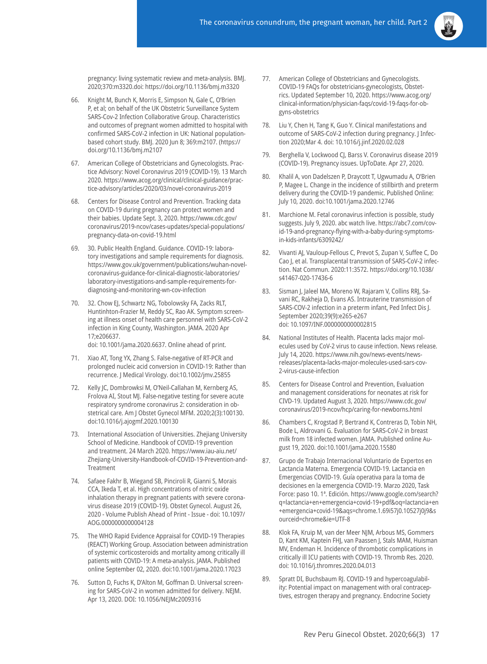pregnancy: living systematic review and meta-analysis. BMJ. 2020;370:m3320.doi: https://doi.org/10.1136/bmj.m3320

- 66. Knight M, Bunch K, Morris E, Simpson N, Gale C, O'Brien P, et al; on behalf of the UK Obstetric Surveillance System SARS-Cov-2 Infection Collaborative Group. Characteristics and outcomes of pregnant women admitted to hospital with confirmed SARS-CoV-2 infection in UK: National populationbased cohort study. BMJ. 2020 Jun 8; 369:m2107. (https:// doi.org/10.1136/bmj.m2107
- 67. American College of Obstetricians and Gynecologists. Practice Advisory: Novel Coronavirus 2019 (COVID-19). 13 March 2020. https://www.acog.org/clinical/clinical-guidance/practice-advisory/articles/2020/03/novel-coronavirus-2019
- 68. Centers for Disease Control and Prevention. Tracking data on COVID-19 during pregnancy can protect women and their babies. Update Sept. 3, 2020. https://www.cdc.gov/ coronavirus/2019-ncov/cases-updates/special-populations/ pregnancy-data-on-covid-19.html
- 69. 30. Public Health England. Guidance. COVID-19: laboratory investigations and sample requirements for diagnosis. https://www.gov.uk/government/publications/wuhan-novelcoronavirus-guidance-for-clinical-diagnostic-laboratories/ laboratory-investigations-and-sample-requirements-fordiagnosing-and-monitoring-wn-cov-infection
- 70. 32. Chow EJ, Schwartz NG, Tobolowsky FA, Zacks RLT, Huntinhton-Frazier M, Reddy SC, Rao AK. Symptom screening at illness onset of health care personnel with SARS-CoV-2 infection in King County, Washington. JAMA. 2020 Apr 17;e206637. doi: 10.1001/jama.2020.6637. Online ahead of print.
- 71. Xiao AT, Tong YX, Zhang S. False-negative of RT-PCR and prolonged nucleic acid conversion in COVID-19: Rather than recurrence. J Medical Virology. doi:10.1002/jmv.25855
- 72. Kelly JC, Dombrowksi M, O'Neil-Callahan M, Kernberg AS, Frolova AI, Stout MJ. False-negative testing for severe acute respiratory syndrome coronavirus 2: consideration in obstetrical care. Am J Obstet Gynecol MFM. 2020;2(3):100130. doi:10.1016/j.ajogmf.2020.100130
- 73. International Association of Universities. Zhejiang University School of Medicine. Handbook of COVID-19 prevention and treatment. 24 March 2020. https://www.iau-aiu.net/ Zhejiang-University-Handbook-of-COVID-19-Prevention-and-Treatment
- 74. Safaee Fakhr B, Wiegand SB, Pinciroli R, Gianni S, Morais CCA, Ikeda T, et al. High concentrations of nitric oxide inhalation therapy in pregnant patients with severe coronavirus disease 2019 (COVID-19). Obstet Gynecol. August 26, 2020 - Volume Publish Ahead of Print - Issue - doi: 10.1097/ AOG.0000000000004128
- 75. The WHO Rapid Evidence Appraisal for COVID-19 Therapies (REACT) Working Group. Association between administration of systemic corticosteroids and mortality among critically ill patients with COVID-19: A meta-analysis. JAMA. Published online September 02, 2020. doi:10.1001/jama.2020.17023
- 76. Sutton D, Fuchs K, D'Alton M, Goffman D. Universal screening for SARS-CoV-2 in women admitted for delivery. NEJM. Apr 13, 2020. DOI: 10.1056/NEJMc2009316
- 77. American College of Obstetricians and Gynecologists. COVID-19 FAQs for obstetricians-gynecologists, Obstetrics. Updated September 10, 2020. https://www.acog.org/ clinical-information/physician-faqs/covid-19-faqs-for-obgyns-obstetrics
- 78. Liu Y, Chen H, Tang K, Guo Y. Clinical manifestations and outcome of SARS-CoV-2 infection during pregnancy. J Infection 2020;Mar 4. doi: 10.1016/j.jinf.2020.02.028
- 79. Berghella V, Lockwood CJ, Barss V. Coronavirus disease 2019 (COVID-19). Pregnancy issues. UpToDate. Apr 27, 2020.
- 80. Khalil A, von Dadelszen P, Draycott T, Ugwumadu A, O'Brien P, Magee L. Change in the incidence of stillbirth and preterm delivery during the COVID-19 pandemic. Published Online: July 10, 2020. doi:10.1001/jama.2020.12746
- 81. Marchione M. Fetal coronavirus infection is possible, study suggests. July 9, 2020. abc watch live. https://abc7.com/covid-19-and-pregnancy-flying-with-a-baby-during-symptomsin-kids-infants/6309242/
- 82. Vivanti AJ, Vauloup-Fellous C, Prevot S, Zupan V, Suffee C, Do Cao J, et al. Transplacental transmission of SARS-CoV-2 infection. Nat Commun. 2020:11:3572. https://doi.org/10.1038/ s41467-020-17436-6
- 83. Sisman J, Jaleel MA, Moreno W, Rajaram V, Collins RRJ, Savani RC, Rakheja D, Evans AS. Intrauterine transmission of SARS-COV-2 infection in a preterm infant, Ped Infect Dis J. September 2020;39(9):e265-e267 doi: 10.1097/INF.0000000000002815
- 84. National Institutes of Health. Placenta lacks major molecules used by CoV-2 virus to cause infection. News release. July 14, 2020. https://www.nih.gov/news-events/newsreleases/placenta-lacks-major-molecules-used-sars-cov-2-virus-cause-infection
- 85. Centers for Disease Control and Prevention, Evaluation and management considerations for neonates at risk for CIVD-19. Updated August 3, 2020. https://www.cdc.gov/ coronavirus/2019-ncov/hcp/caring-for-newborns.html
- 86. Chambers C, Krogstad P, Bertrand K, Contreras D, Tobin NH, Bode L, Aldrovani G. Evaluation for SARS-CoV-2 in breast milk from 18 infected women. JAMA. Published online August 19, 2020. doi:10.1001/jama.2020.15580
- 87. Grupo de Trabajo Internacional Voluntario de Expertos en Lactancia Materna. Emergencia COVID-19. Lactancia en Emergencias COVID-19. Guía operativa para la toma de decisiones en la emergencia COVID-19. Marzo 2020, Task Force: paso 10. 1ª. Edición. https://www.google.com/search? q=lactancia+en+emergencia+covid-19+pdf&oq=lactancia+en +emergencia+covid-19&aqs=chrome.1.69i57j0.10527j0j9&s ourceid=chrome&ie=UTF-8
- 88. Klok FA, Kruip M, van der Meer NJM, Arbous MS, Gommers D, Kant KM, Kaptein FHJ, van Paassen J, Stals MAM, Huisman MV, Endeman H. Incidence of thrombotic complications in critically ill ICU patients with COVID-19. Thromb Res. 2020. doi: 10.1016/j.thromres.2020.04.013
- 89. Spratt DI, Buchsbaum RJ. COVID-19 and hypercoagulability: Potential impact on management with oral contraceptives, estrogen therapy and pregnancy. Endocrine Society